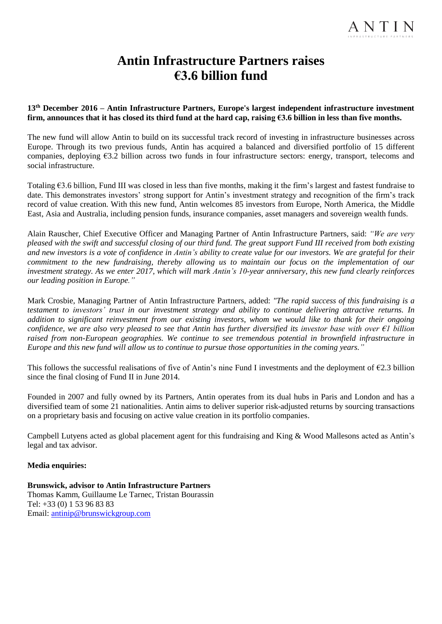## **Antin Infrastructure Partners raises €3.6 billion fund**

## **13th December 2016 – Antin Infrastructure Partners, Europe's largest independent infrastructure investment firm, announces that it has closed its third fund at the hard cap, raising €3.6 billion in less than five months.**

The new fund will allow Antin to build on its successful track record of investing in infrastructure businesses across Europe. Through its two previous funds, Antin has acquired a balanced and diversified portfolio of 15 different companies, deploying €3.2 billion across two funds in four infrastructure sectors: energy, transport, telecoms and social infrastructure.

Totaling €3.6 billion, Fund III was closed in less than five months, making it the firm's largest and fastest fundraise to date. This demonstrates investors' strong support for Antin's investment strategy and recognition of the firm's track record of value creation. With this new fund, Antin welcomes 85 investors from Europe, North America, the Middle East, Asia and Australia, including pension funds, insurance companies, asset managers and sovereign wealth funds.

Alain Rauscher, Chief Executive Officer and Managing Partner of Antin Infrastructure Partners, said: *"We are very pleased with the swift and successful closing of our third fund. The great support Fund III received from both existing and new investors is a vote of confidence in Antin's ability to create value for our investors. We are grateful for their commitment to the new fundraising, thereby allowing us to maintain our focus on the implementation of our investment strategy. As we enter 2017, which will mark Antin's 10-year anniversary, this new fund clearly reinforces our leading position in Europe."*

Mark Crosbie, Managing Partner of Antin Infrastructure Partners, added: *"The rapid success of this fundraising is a testament to investors' trust in our investment strategy and ability to continue delivering attractive returns. In addition to significant reinvestment from our existing investors, whom we would like to thank for their ongoing confidence, we are also very pleased to see that Antin has further diversified its investor base with over €1 billion raised from non-European geographies. We continue to see tremendous potential in brownfield infrastructure in Europe and this new fund will allow us to continue to pursue those opportunities in the coming years."*

This follows the successful realisations of five of Antin's nine Fund I investments and the deployment of  $\epsilon$ 2.3 billion since the final closing of Fund II in June 2014.

Founded in 2007 and fully owned by its Partners, Antin operates from its dual hubs in Paris and London and has a diversified team of some 21 nationalities. Antin aims to deliver superior risk-adjusted returns by sourcing transactions on a proprietary basis and focusing on active value creation in its portfolio companies.

Campbell Lutyens acted as global placement agent for this fundraising and King & Wood Mallesons acted as Antin's legal and tax advisor.

## **Media enquiries:**

**Brunswick, advisor to Antin Infrastructure Partners** Thomas Kamm, Guillaume Le Tarnec, Tristan Bourassin Tel: +33 (0) 1 53 96 83 83 Email: [antinip@brunswickgroup.com](mailto:antinip@brunswickgroup.com)